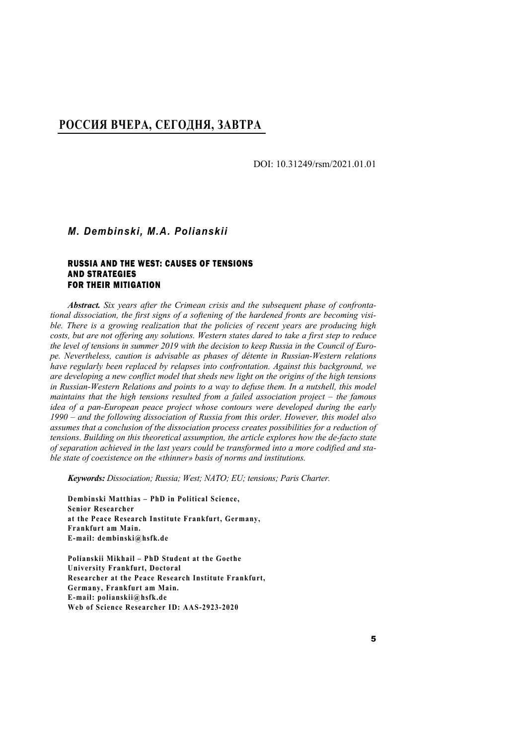## РОССИЯ И ЗАПАД: ПРИЧИНЫ ПРОТИВОРЕЧИЙ **РОССИЯ ВЧЕРА, СЕГОДНЯ, ЗАВТРА**

DOI: 10.31249/rsm/2021.01.01

## *M. Dembinski, M.A. Polianskii*

#### RUSSIA AND THE WEST: CAUSES OF TENSIONS AND STRATEGIES FOR THEIR MITIGATION

*Abstract. Six years after the Crimean crisis and the subsequent phase of confrontational dissociation, the first signs of a softening of the hardened fronts are becoming visible. There is a growing realization that the policies of recent years are producing high costs, but are not offering any solutions. Western states dared to take a first step to reduce the level of tensions in summer 2019 with the decision to keep Russia in the Council of Europe. Nevertheless, caution is advisable as phases of détente in Russian-Western relations have regularly been replaced by relapses into confrontation. Against this background, we are developing a new conflict model that sheds new light on the origins of the high tensions*  in Russian-Western Relations and points to a way to defuse them. In a nutshell, this model *maintains that the high tensions resulted from a failed association project – the famous idea of a pan-European peace project whose contours were developed during the early 1990 – and the following dissociation of Russia from this order. However, this model also assumes that a conclusion of the dissociation process creates possibilities for a reduction of tensions. Building on this theoretical assumption, the article explores how the de-facto state of separation achieved in the last years could be transformed into a more codified and stable state of coexistence on the «thinner» basis of norms and institutions.* 

*Keywords: Dissociation; Russia; West; NATO; EU; tensions; Paris Charter.* 

**Dembinski Matthias – PhD in Political Science, Senior Researcher at the Peace Research Institute Frankfurt, Germany, Frankfurt am Main. E-mail: dembinski@hsfk.de** 

**Polianskii Mikhail – PhD Student at the Goethe University Frankfurt, Doctoral Researcher at the Peace Research Institute Frankfurt, Germany, Frankfurt am Main. E-mail: polianskii@hsfk.de Web of Science Researcher ID: AAS-2923-2020**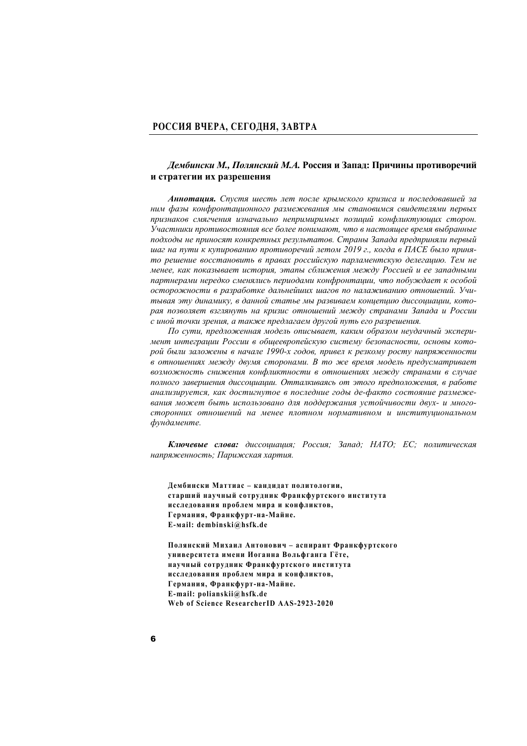### *Дембински М., Полянский М.А.* **Россия и Запад: Причины противоречий и стратегии их разрешения**

*Аннотация. Спустя шесть лет после крымского кризиса и последовавшей за ним фазы конфронтационного размежевания мы становимся свидетелями первых признаков смягчения изначально непримиримых позиций конфликтующих сторон. Участники противостояния все более понимают, что в настоящее время выбранные подходы не приносят конкретных результатов. Страны Запада предприняли первый шаг на пути к купированию противоречий летом 2019 г., когда в ПАСЕ было принято решение восстановить в правах российскую парламентскую делегацию. Тем не менее, как показывает история, этапы сближения между Россией и ее западными партнерами нередко сменялись периодами конфронтации, что побуждает к особой осторожности в разработке дальнейших шагов по налаживанию отношений. Учитывая эту динамику, в данной статье мы развиваем концепцию диссоциации, которая позволяет взглянуть на кризис отношений между странами Запада и России с иной точки зрения, а также предлагаем другой путь его разрешения.* 

*По сути, предложенная модель описывает, каким образом неудачный эксперимент интеграции России в общеевропейскую систему безопасности, основы которой были заложены в начале 1990-х годов, привел к резкому росту напряженности в отношениях между двумя сторонами. В то же время модель предусматривает возможность снижения конфликтности в отношениях между странами в случае полного завершения диссоциации. Отталкиваясь от этого предположения, в работе анализируется, как достигнутое в последние годы де-факто состояние размежевания может быть использовано для поддержания устойчивости двух- и многосторонних отношений на менее плотном нормативном и институциональном фундаменте.* 

*Ключевые слова: диссоциация; Россия; Запад; НАТО; ЕС; политическая напряженность; Парижская хартия.* 

**Дембински Маттиас – кандидат политологии, старший научный сотрудник Франкфуртского института исследования проблем мира и конфликтов, Германия, Франкфурт-н а-Майне. Е-мail: dembinski@hsfk.de** 

**Полянский Михаил Антонович – аспирант Франкфуртского университета имени Иоганна Вольфганга Гёте, научный сотрудник Франкфуртского института исследования проблем мира и конфликтов, Германия, Франкфурт-н а-Майне. Е-mail: polianskii@hsfk.de Web of Science ResearcherID AAS-2923-2020**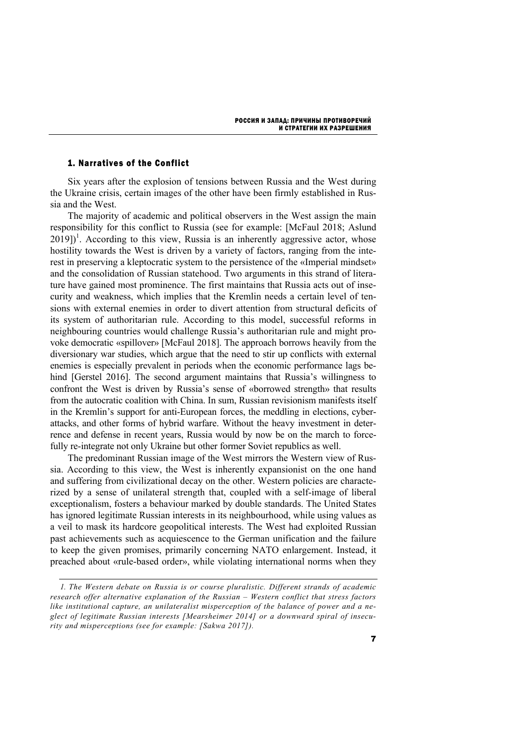## 1. Narratives of the Conflict

Six years after the explosion of tensions between Russia and the West during the Ukraine crisis, certain images of the other have been firmly established in Russia and the West.

The majority of academic and political observers in the West assign the main responsibility for this conflict to Russia (see for example: [McFaul 2018; Aslund  $2019$ ]<sup>1</sup>. According to this view, Russia is an inherently aggressive actor, whose hostility towards the West is driven by a variety of factors, ranging from the interest in preserving a kleptocratic system to the persistence of the «Imperial mindset» and the consolidation of Russian statehood. Two arguments in this strand of literature have gained most prominence. The first maintains that Russia acts out of insecurity and weakness, which implies that the Kremlin needs a certain level of tensions with external enemies in order to divert attention from structural deficits of its system of authoritarian rule. According to this model, successful reforms in neighbouring countries would challenge Russia's authoritarian rule and might provoke democratic «spillover» [McFaul 2018]. The approach borrows heavily from the diversionary war studies, which argue that the need to stir up conflicts with external enemies is especially prevalent in periods when the economic performance lags behind [Gerstel 2016]. The second argument maintains that Russia's willingness to confront the West is driven by Russia's sense of «borrowed strength» that results from the autocratic coalition with China. In sum, Russian revisionism manifests itself in the Kremlin's support for anti-European forces, the meddling in elections, cyberattacks, and other forms of hybrid warfare. Without the heavy investment in deterrence and defense in recent years, Russia would by now be on the march to forcefully re-integrate not only Ukraine but other former Soviet republics as well.

The predominant Russian image of the West mirrors the Western view of Russia. According to this view, the West is inherently expansionist on the one hand and suffering from civilizational decay on the other. Western policies are characterized by a sense of unilateral strength that, coupled with a self-image of liberal exceptionalism, fosters a behaviour marked by double standards. The United States has ignored legitimate Russian interests in its neighbourhood, while using values as a veil to mask its hardcore geopolitical interests. The West had exploited Russian past achievements such as acquiescence to the German unification and the failure to keep the given promises, primarily concerning NATO enlargement. Instead, it preached about «rule-based order», while violating international norms when they

*<sup>1.</sup> The Western debate on Russia is or course pluralistic. Different strands of academic research offer alternative explanation of the Russian – Western conflict that stress factors like institutional capture, an unilateralist misperception of the balance of power and a neglect of legitimate Russian interests [Mearsheimer 2014] or a downward spiral of insecurity and misperceptions (see for example: [Sakwa 2017]).*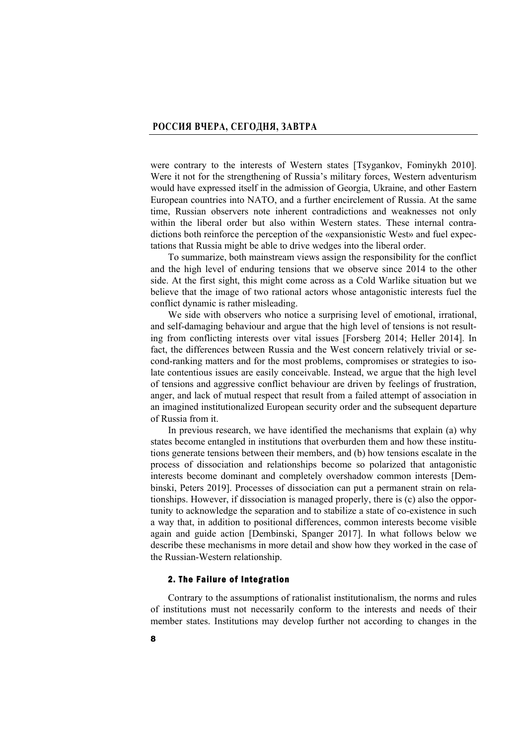were contrary to the interests of Western states [Tsygankov, Fominykh 2010]. Were it not for the strengthening of Russia's military forces, Western adventurism would have expressed itself in the admission of Georgia, Ukraine, and other Eastern European countries into NATO, and a further encirclement of Russia. At the same time, Russian observers note inherent contradictions and weaknesses not only within the liberal order but also within Western states. These internal contradictions both reinforce the perception of the «expansionistic West» and fuel expectations that Russia might be able to drive wedges into the liberal order.

To summarize, both mainstream views assign the responsibility for the conflict and the high level of enduring tensions that we observe since 2014 to the other side. At the first sight, this might come across as a Cold Warlike situation but we believe that the image of two rational actors whose antagonistic interests fuel the conflict dynamic is rather misleading.

We side with observers who notice a surprising level of emotional, irrational, and self-damaging behaviour and argue that the high level of tensions is not resulting from conflicting interests over vital issues [Forsberg 2014; Heller 2014]. In fact, the differences between Russia and the West concern relatively trivial or second-ranking matters and for the most problems, compromises or strategies to isolate contentious issues are easily conceivable. Instead, we argue that the high level of tensions and aggressive conflict behaviour are driven by feelings of frustration, anger, and lack of mutual respect that result from a failed attempt of association in an imagined institutionalized European security order and the subsequent departure of Russia from it.

In previous research, we have identified the mechanisms that explain (a) why states become entangled in institutions that overburden them and how these institutions generate tensions between their members, and (b) how tensions escalate in the process of dissociation and relationships become so polarized that antagonistic interests become dominant and completely overshadow common interests [Dembinski, Peters 2019]. Processes of dissociation can put a permanent strain on relationships. However, if dissociation is managed properly, there is (c) also the opportunity to acknowledge the separation and to stabilize a state of co-existence in such a way that, in addition to positional differences, common interests become visible again and guide action [Dembinski, Spanger 2017]. In what follows below we describe these mechanisms in more detail and show how they worked in the case of the Russian-Western relationship.

### 2. The Failure of Integration

Contrary to the assumptions of rationalist institutionalism, the norms and rules of institutions must not necessarily conform to the interests and needs of their member states. Institutions may develop further not according to changes in the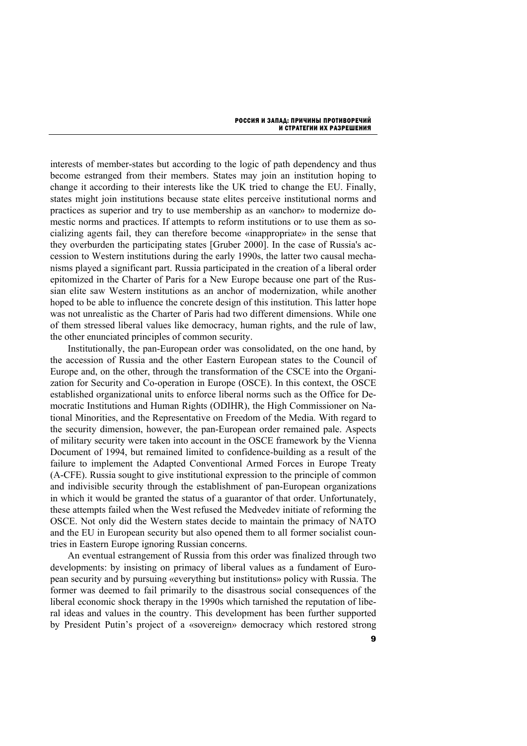interests of member-states but according to the logic of path dependency and thus become estranged from their members. States may join an institution hoping to change it according to their interests like the UK tried to change the EU. Finally, states might join institutions because state elites perceive institutional norms and practices as superior and try to use membership as an «anchor» to modernize domestic norms and practices. If attempts to reform institutions or to use them as socializing agents fail, they can therefore become «inappropriate» in the sense that they overburden the participating states [Gruber 2000]. In the case of Russia's accession to Western institutions during the early 1990s, the latter two causal mechanisms played a significant part. Russia participated in the creation of a liberal order epitomized in the Charter of Paris for a New Europe because one part of the Russian elite saw Western institutions as an anchor of modernization, while another hoped to be able to influence the concrete design of this institution. This latter hope was not unrealistic as the Charter of Paris had two different dimensions. While one of them stressed liberal values like democracy, human rights, and the rule of law, the other enunciated principles of common security.

Institutionally, the pan-European order was consolidated, on the one hand, by the accession of Russia and the other Eastern European states to the Council of Europe and, on the other, through the transformation of the CSCE into the Organization for Security and Co-operation in Europe (OSCE). In this context, the OSCE established organizational units to enforce liberal norms such as the Office for Democratic Institutions and Human Rights (ODIHR), the High Commissioner on National Minorities, and the Representative on Freedom of the Media. With regard to the security dimension, however, the pan-European order remained pale. Aspects of military security were taken into account in the OSCE framework by the Vienna Document of 1994, but remained limited to confidence-building as a result of the failure to implement the Adapted Conventional Armed Forces in Europe Treaty (A-CFE). Russia sought to give institutional expression to the principle of common and indivisible security through the establishment of pan-European organizations in which it would be granted the status of a guarantor of that order. Unfortunately, these attempts failed when the West refused the Medvedev initiate of reforming the OSCE. Not only did the Western states decide to maintain the primacy of NATO and the EU in European security but also opened them to all former socialist countries in Eastern Europe ignoring Russian concerns.

An eventual estrangement of Russia from this order was finalized through two developments: by insisting on primacy of liberal values as a fundament of European security and by pursuing «everything but institutions» policy with Russia. The former was deemed to fail primarily to the disastrous social consequences of the liberal economic shock therapy in the 1990s which tarnished the reputation of liberal ideas and values in the country. This development has been further supported by President Putin's project of a «sovereign» democracy which restored strong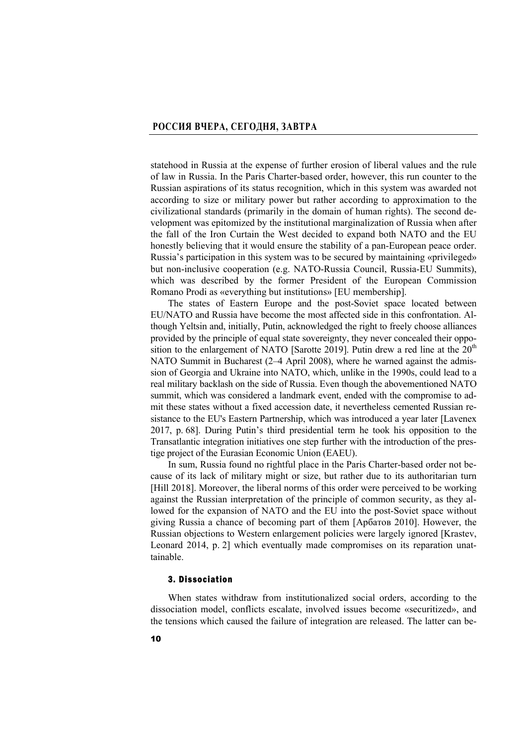statehood in Russia at the expense of further erosion of liberal values and the rule of law in Russia. In the Paris Charter-based order, however, this run counter to the Russian aspirations of its status recognition, which in this system was awarded not according to size or military power but rather according to approximation to the civilizational standards (primarily in the domain of human rights). The second development was epitomized by the institutional marginalization of Russia when after the fall of the Iron Curtain the West decided to expand both NATO and the EU honestly believing that it would ensure the stability of a pan-European peace order. Russia's participation in this system was to be secured by maintaining «privileged» but non-inclusive cooperation (e.g. NATO-Russia Council, Russia-EU Summits), which was described by the former President of the European Commission Romano Prodi as «everything but institutions» [EU membership].

The states of Eastern Europe and the post-Soviet space located between EU/NATO and Russia have become the most affected side in this confrontation. Although Yeltsin and, initially, Putin, acknowledged the right to freely choose alliances provided by the principle of equal state sovereignty, they never concealed their opposition to the enlargement of NATO [Sarotte 2019]. Putin drew a red line at the  $20<sup>th</sup>$ NATO Summit in Bucharest (2–4 April 2008), where he warned against the admission of Georgia and Ukraine into NATO, which, unlike in the 1990s, could lead to a real military backlash on the side of Russia. Even though the abovementioned NATO summit, which was considered a landmark event, ended with the compromise to admit these states without a fixed accession date, it nevertheless cemented Russian resistance to the EU's Eastern Partnership, which was introduced a year later [Lavenex 2017, p. 68]. During Putin's third presidential term he took his opposition to the Transatlantic integration initiatives one step further with the introduction of the prestige project of the Eurasian Economic Union (EAEU).

In sum, Russia found no rightful place in the Paris Charter-based order not because of its lack of military might or size, but rather due to its authoritarian turn [Hill 2018]. Moreover, the liberal norms of this order were perceived to be working against the Russian interpretation of the principle of common security, as they allowed for the expansion of NATO and the EU into the post-Soviet space without giving Russia a chance of becoming part of them [Арбатов 2010]. However, the Russian objections to Western enlargement policies were largely ignored [Krastev, Leonard 2014, p. 2] which eventually made compromises on its reparation unattainable.

### 3. Dissociation

When states withdraw from institutionalized social orders, according to the dissociation model, conflicts escalate, involved issues become «securitized», and the tensions which caused the failure of integration are released. The latter can be-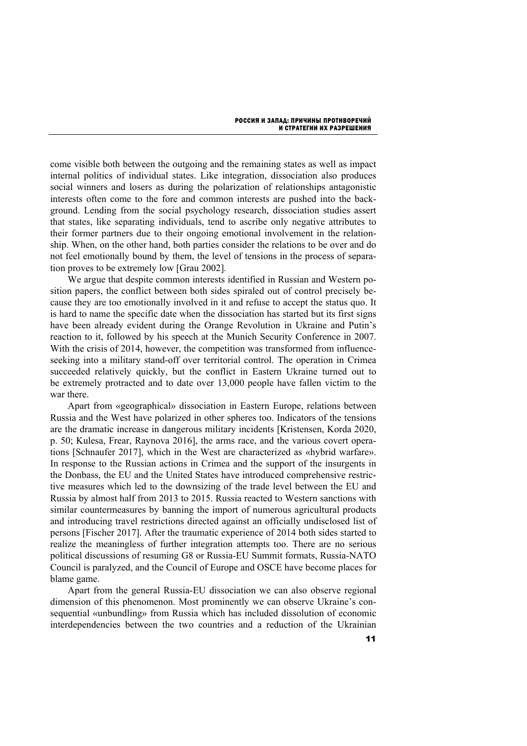come visible both between the outgoing and the remaining states as well as impact internal politics of individual states. Like integration, dissociation also produces social winners and losers as during the polarization of relationships antagonistic interests often come to the fore and common interests are pushed into the background. Lending from the social psychology research, dissociation studies assert that states, like separating individuals, tend to ascribe only negative attributes to their former partners due to their ongoing emotional involvement in the relationship. When, on the other hand, both parties consider the relations to be over and do not feel emotionally bound by them, the level of tensions in the process of separation proves to be extremely low [Grau 2002].

We argue that despite common interests identified in Russian and Western position papers, the conflict between both sides spiraled out of control precisely because they are too emotionally involved in it and refuse to accept the status quo. It is hard to name the specific date when the dissociation has started but its first signs have been already evident during the Orange Revolution in Ukraine and Putin's reaction to it, followed by his speech at the Munich Security Conference in 2007. With the crisis of 2014, however, the competition was transformed from influenceseeking into a military stand-off over territorial control. The operation in Crimea succeeded relatively quickly, but the conflict in Eastern Ukraine turned out to be extremely protracted and to date over 13,000 people have fallen victim to the war there.

Apart from «geographical» dissociation in Eastern Europe, relations between Russia and the West have polarized in other spheres too. Indicators of the tensions are the dramatic increase in dangerous military incidents [Kristensen, Korda 2020, p. 50; Kulesa, Frear, Raynova 2016], the arms race, and the various covert operations [Schnaufer 2017], which in the West are characterized as «hybrid warfare». In response to the Russian actions in Crimea and the support of the insurgents in the Donbass, the EU and the United States have introduced comprehensive restrictive measures which led to the downsizing of the trade level between the EU and Russia by almost half from 2013 to 2015. Russia reacted to Western sanctions with similar countermeasures by banning the import of numerous agricultural products and introducing travel restrictions directed against an officially undisclosed list of persons [Fischer 2017]. After the traumatic experience of 2014 both sides started to realize the meaningless of further integration attempts too. There are no serious political discussions of resuming G8 or Russia-EU Summit formats, Russia-NATO Council is paralyzed, and the Council of Europe and OSCE have become places for blame game.

Apart from the general Russia-EU dissociation we can also observe regional dimension of this phenomenon. Most prominently we can observe Ukraine's consequential «unbundling» from Russia which has included dissolution of economic interdependencies between the two countries and a reduction of the Ukrainian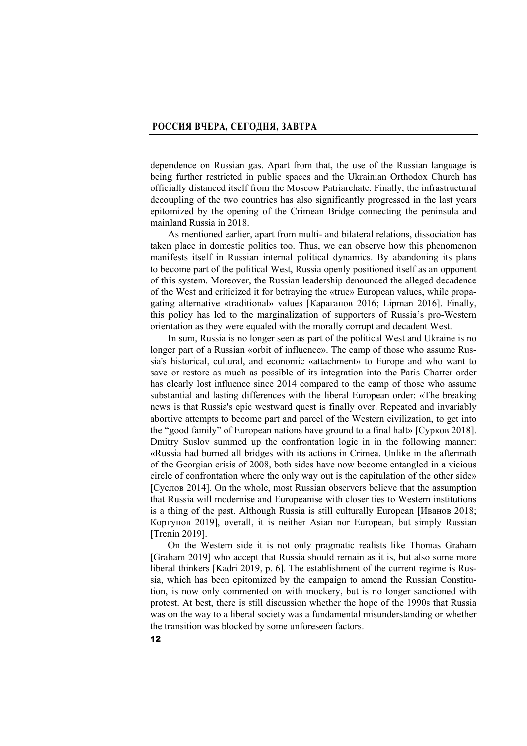dependence on Russian gas. Apart from that, the use of the Russian language is being further restricted in public spaces and the Ukrainian Orthodox Church has officially distanced itself from the Moscow Patriarchate. Finally, the infrastructural decoupling of the two countries has also significantly progressed in the last years epitomized by the opening of the Crimean Bridge connecting the peninsula and mainland Russia in 2018.

As mentioned earlier, apart from multi- and bilateral relations, dissociation has taken place in domestic politics too. Thus, we can observe how this phenomenon manifests itself in Russian internal political dynamics. By abandoning its plans to become part of the political West, Russia openly positioned itself as an opponent of this system. Moreover, the Russian leadership denounced the alleged decadence of the West and criticized it for betraying the «true» European values, while propagating alternative «traditional» values [Караганов 2016; Lipman 2016]. Finally, this policy has led to the marginalization of supporters of Russia's pro-Western orientation as they were equaled with the morally corrupt and decadent West.

In sum, Russia is no longer seen as part of the political West and Ukraine is no longer part of a Russian «orbit of influence». The camp of those who assume Russia's historical, cultural, and economic «attachment» to Europe and who want to save or restore as much as possible of its integration into the Paris Charter order has clearly lost influence since 2014 compared to the camp of those who assume substantial and lasting differences with the liberal European order: «The breaking news is that Russia's epic westward quest is finally over. Repeated and invariably abortive attempts to become part and parcel of the Western civilization, to get into the "good family" of European nations have ground to a final halt» [Сурков 2018]. Dmitry Suslov summed up the confrontation logic in in the following manner: «Russia had burned all bridges with its actions in Crimea. Unlike in the aftermath of the Georgian crisis of 2008, both sides have now become entangled in a vicious circle of confrontation where the only way out is the capitulation of the other side» [Суслов 2014]. On the whole, most Russian observers believe that the assumption that Russia will modernise and Europeanise with closer ties to Western institutions is a thing of the past. Although Russia is still culturally European [Иванов 2018; Кортунов 2019], overall, it is neither Asian nor European, but simply Russian [Trenin 2019].

On the Western side it is not only pragmatic realists like Thomas Graham [Graham 2019] who accept that Russia should remain as it is, but also some more liberal thinkers [Kadri 2019, p. 6]. The establishment of the current regime is Russia, which has been epitomized by the campaign to amend the Russian Constitution, is now only commented on with mockery, but is no longer sanctioned with protest. At best, there is still discussion whether the hope of the 1990s that Russia was on the way to a liberal society was a fundamental misunderstanding or whether the transition was blocked by some unforeseen factors.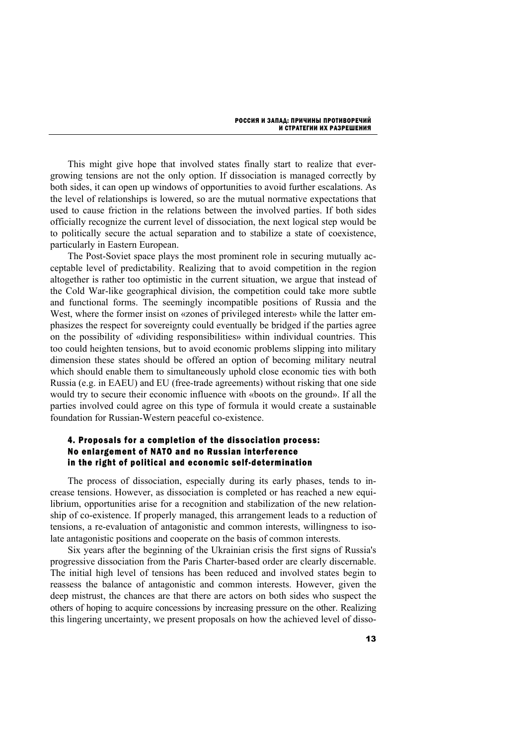This might give hope that involved states finally start to realize that evergrowing tensions are not the only option. If dissociation is managed correctly by both sides, it can open up windows of opportunities to avoid further escalations. As the level of relationships is lowered, so are the mutual normative expectations that used to cause friction in the relations between the involved parties. If both sides officially recognize the current level of dissociation, the next logical step would be to politically secure the actual separation and to stabilize a state of coexistence, particularly in Eastern European.

The Post-Soviet space plays the most prominent role in securing mutually acceptable level of predictability. Realizing that to avoid competition in the region altogether is rather too optimistic in the current situation, we argue that instead of the Cold War-like geographical division, the competition could take more subtle and functional forms. The seemingly incompatible positions of Russia and the West, where the former insist on «zones of privileged interest» while the latter emphasizes the respect for sovereignty could eventually be bridged if the parties agree on the possibility of «dividing responsibilities» within individual countries. This too could heighten tensions, but to avoid economic problems slipping into military dimension these states should be offered an option of becoming military neutral which should enable them to simultaneously uphold close economic ties with both Russia (e.g. in EAEU) and EU (free-trade agreements) without risking that one side would try to secure their economic influence with «boots on the ground». If all the parties involved could agree on this type of formula it would create a sustainable foundation for Russian-Western peaceful co-existence.

## 4. Proposals for a completion of the dissociation process: No enlargement of NATO and no Russian interference in the right of political and economic self-determination

The process of dissociation, especially during its early phases, tends to increase tensions. However, as dissociation is completed or has reached a new equilibrium, opportunities arise for a recognition and stabilization of the new relationship of co-existence. If properly managed, this arrangement leads to a reduction of tensions, a re-evaluation of antagonistic and common interests, willingness to isolate antagonistic positions and cooperate on the basis of common interests.

Six years after the beginning of the Ukrainian crisis the first signs of Russia's progressive dissociation from the Paris Charter-based order are clearly discernable. The initial high level of tensions has been reduced and involved states begin to reassess the balance of antagonistic and common interests. However, given the deep mistrust, the chances are that there are actors on both sides who suspect the others of hoping to acquire concessions by increasing pressure on the other. Realizing this lingering uncertainty, we present proposals on how the achieved level of disso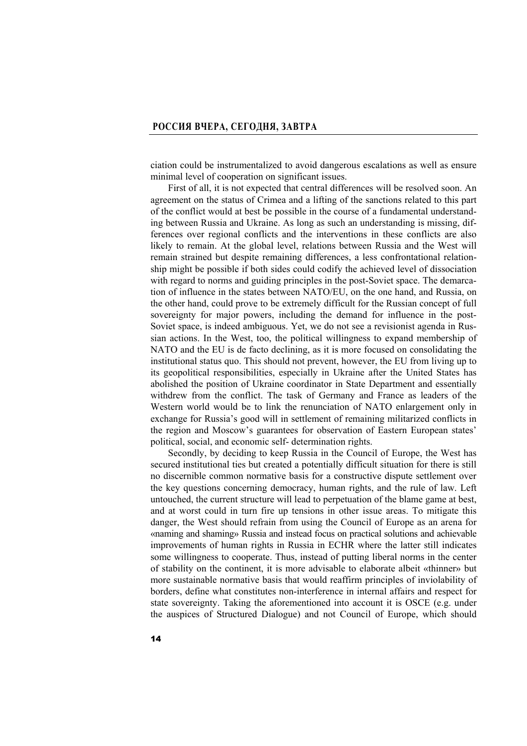ciation could be instrumentalized to avoid dangerous escalations as well as ensure minimal level of cooperation on significant issues.

First of all, it is not expected that central differences will be resolved soon. An agreement on the status of Crimea and a lifting of the sanctions related to this part of the conflict would at best be possible in the course of a fundamental understanding between Russia and Ukraine. As long as such an understanding is missing, differences over regional conflicts and the interventions in these conflicts are also likely to remain. At the global level, relations between Russia and the West will remain strained but despite remaining differences, a less confrontational relationship might be possible if both sides could codify the achieved level of dissociation with regard to norms and guiding principles in the post-Soviet space. The demarcation of influence in the states between NATO/EU, on the one hand, and Russia, on the other hand, could prove to be extremely difficult for the Russian concept of full sovereignty for major powers, including the demand for influence in the post-Soviet space, is indeed ambiguous. Yet, we do not see a revisionist agenda in Russian actions. In the West, too, the political willingness to expand membership of NATO and the EU is de facto declining, as it is more focused on consolidating the institutional status quo. This should not prevent, however, the EU from living up to its geopolitical responsibilities, especially in Ukraine after the United States has abolished the position of Ukraine coordinator in State Department and essentially withdrew from the conflict. The task of Germany and France as leaders of the Western world would be to link the renunciation of NATO enlargement only in exchange for Russia's good will in settlement of remaining militarized conflicts in the region and Moscow's guarantees for observation of Eastern European states' political, social, and economic self- determination rights.

Secondly, by deciding to keep Russia in the Council of Europe, the West has secured institutional ties but created a potentially difficult situation for there is still no discernible common normative basis for a constructive dispute settlement over the key questions concerning democracy, human rights, and the rule of law. Left untouched, the current structure will lead to perpetuation of the blame game at best, and at worst could in turn fire up tensions in other issue areas. To mitigate this danger, the West should refrain from using the Council of Europe as an arena for «naming and shaming» Russia and instead focus on practical solutions and achievable improvements of human rights in Russia in ECHR where the latter still indicates some willingness to cooperate. Thus, instead of putting liberal norms in the center of stability on the continent, it is more advisable to elaborate albeit «thinner» but more sustainable normative basis that would reaffirm principles of inviolability of borders, define what constitutes non-interference in internal affairs and respect for state sovereignty. Taking the aforementioned into account it is OSCE (e.g. under the auspices of Structured Dialogue) and not Council of Europe, which should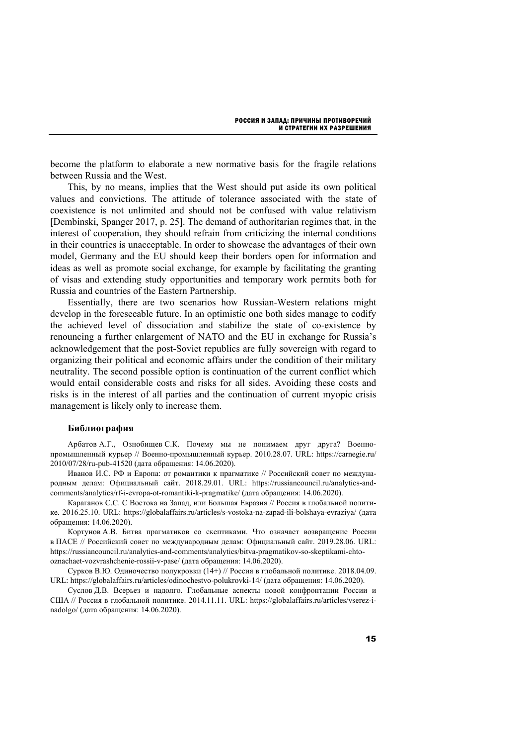become the platform to elaborate a new normative basis for the fragile relations between Russia and the West.

This, by no means, implies that the West should put aside its own political values and convictions. The attitude of tolerance associated with the state of coexistence is not unlimited and should not be confused with value relativism [Dembinski, Spanger 2017, p. 25]. The demand of authoritarian regimes that, in the interest of cooperation, they should refrain from criticizing the internal conditions in their countries is unacceptable. In order to showcase the advantages of their own model, Germany and the EU should keep their borders open for information and ideas as well as promote social exchange, for example by facilitating the granting of visas and extending study opportunities and temporary work permits both for Russia and countries of the Eastern Partnership.

Essentially, there are two scenarios how Russian-Western relations might develop in the foreseeable future. In an optimistic one both sides manage to codify the achieved level of dissociation and stabilize the state of co-existence by renouncing a further enlargement of NATO and the EU in exchange for Russia's acknowledgement that the post-Soviet republics are fully sovereign with regard to organizing their political and economic affairs under the condition of their military neutrality. The second possible option is continuation of the current conflict which would entail considerable costs and risks for all sides. Avoiding these costs and risks is in the interest of all parties and the continuation of current myopic crisis management is likely only to increase them.

#### **Библиография**

Арбатов А.Г., Ознобищев С.К. Почему мы не понимаем друг друга? Военнопромышленный курьер // Военно-промышленный курьер. 2010.28.07. URL: https://carnegie.ru/ 2010/07/28/ru-pub-41520 (дата обращения: 14.06.2020).

Иванов И.С. РФ и Европа: от романтики к прагматике // Российский совет по международным делам: Официальный сайт. 2018.29.01. URL: https://russiancouncil.ru/analytics-andcomments/analytics/rf-i-evropa-ot-romantiki-k-pragmatike/ (дата обращения: 14.06.2020).

Караганов С.С. С Востока на Запад, или Большая Евразия // Россия в глобальной политике. 2016.25.10. URL: https://globalaffairs.ru/articles/s-vostoka-na-zapad-ili-bolshaya-evraziya/ (дата обращения: 14.06.2020).

Кортунов А.В. Битва прагматиков со скептиками. Что означает возвращение России в ПАСЕ // Российский совет по международным делам: Официальный сайт. 2019.28.06. URL: https://russiancouncil.ru/analytics-and-comments/analytics/bitva-pragmatikov-so-skeptikami-chtooznachaet-vozvrashchenie-rossii-v-pase/ (дата обращения: 14.06.2020).

Сурков В.Ю. Одиночество полукровки (14+) // Россия в глобальной политике. 2018.04.09. URL: https://globalaffairs.ru/articles/odinochestvo-polukrovki-14/ (дата обращения: 14.06.2020).

Суслов Д.В. Всерьез и надолго. Глобальные аспекты новой конфронтации России и США // Россия в глобальной политике. 2014.11.11. URL: https://globalaffairs.ru/articles/vserez-inadolgo/ (дата обращения: 14.06.2020).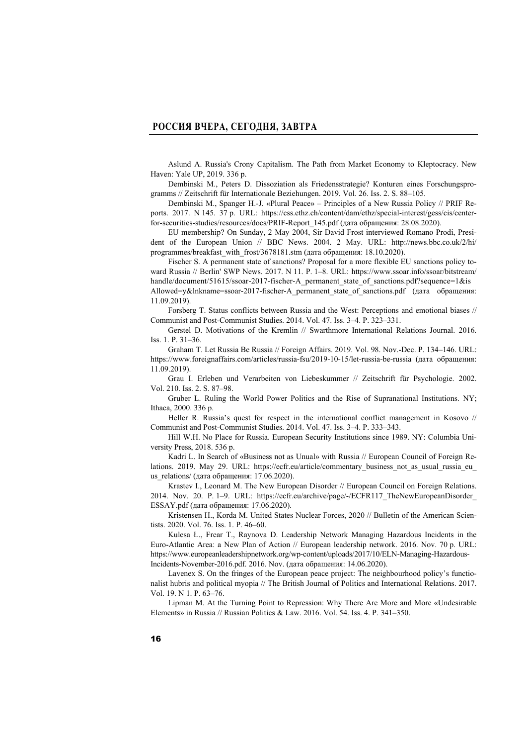Aslund A. Russia's Crony Capitalism. The Path from Market Economy to Kleptocracy. New Haven: Yale UP, 2019. 336 p.

Dembinski M., Peters D. Dissoziation als Friedensstrategie? Konturen eines Forschungsprogramms // Zeitschrift für Internationale Beziehungen. 2019. Vol. 26. Iss. 2. S. 88–105.

Dembinski M., Spanger H.-J. «Plural Peace» – Principles of a New Russia Policy // PRIF Reports. 2017. N 145. 37 p. URL: https://css.ethz.ch/content/dam/ethz/special-interest/gess/cis/centerfor-securities-studies/resources/docs/PRIF-Report\_145.pdf (дата обращения: 28.08.2020).

EU membership? On Sunday, 2 May 2004, Sir David Frost interviewed Romano Prodi, President of the European Union // BBC News. 2004. 2 May. URL: http://news.bbc.co.uk/2/hi/ programmes/breakfast\_with\_frost/3678181.stm (дата обращения: 18.10.2020).

Fischer S. A permanent state of sanctions? Proposal for a more flexible EU sanctions policy toward Russia // Berlin' SWP News. 2017. N 11. P. 1–8. URL: https://www.ssoar.info/ssoar/bitstream/ handle/document/51615/ssoar-2017-fischer-A\_permanent\_state\_of\_sanctions.pdf?sequence=1&is Allowed=y&lnkname=ssoar-2017-fischer-A\_permanent\_state\_of\_sanctions.pdf (дата обращения:

Forsberg T. Status conflicts between Russia and the West: Perceptions and emotional biases // Communist and Post-Communist Studies. 2014. Vol. 47. Iss. 3–4. P. 323–331.

Gerstel D. Motivations of the Kremlin // Swarthmore International Relations Journal. 2016. Iss. 1. P. 31–36.

Graham T. Let Russia Be Russia // Foreign Affairs. 2019. Vol. 98. Nov.-Dec. P. 134–146. URL: https://www.foreignaffairs.com/articles/russia-fsu/2019-10-15/let-russia-be-russia (дата обращения: 11.09.2019).

Grau I. Erleben und Verarbeiten von Liebeskummer // Zeitschrift für Psychologie. 2002. Vol. 210. Iss. 2. S. 87–98.

Gruber L. Ruling the World Power Politics and the Rise of Supranational Institutions. NY; Ithaca, 2000. 336 p.

Heller R. Russia's quest for respect in the international conflict management in Kosovo // Communist and Post-Communist Studies. 2014. Vol. 47. Iss. 3–4. P. 333–343.

Hill W.H. No Place for Russia. European Security Institutions since 1989. NY: Columbia University Press, 2018. 536 p.

Kadri L. In Search of «Business not as Unual» with Russia // European Council of Foreign Relations. 2019. May 29. URL: https://ecfr.eu/article/commentary business not as usual russia eu us relations/ (дата обращения:  $17.06.2020$ ).

Krastev I., Leonard M. The New European Disorder // European Council on Foreign Relations. 2014. Nov. 20. P. 1–9. URL: https://ecfr.eu/archive/page/-/ECFR117\_TheNewEuropeanDisorder\_ ESSAY.pdf (дата обращения: 17.06.2020).

Kristensen H., Korda M. United States Nuclear Forces, 2020 // Bulletin of the American Scientists. 2020. Vol. 76. Iss. 1. P. 46–60.

Kulesa Ł., Frear T., Raynova D. Leadership Network Managing Hazardous Incidents in the Euro-Atlantic Area: a New Plan of Action // European leadership network. 2016. Nov. 70 p. URL: https://www.europeanleadershipnetwork.org/wp-content/uploads/2017/10/ELN-Managing-Hazardous-Incidents-November-2016.pdf. 2016. Nov. (дата обращения: 14.06.2020).

Lavenex S. On the fringes of the European peace project: The neighbourhood policy's functionalist hubris and political myopia // The British Journal of Politics and International Relations. 2017. Vol. 19. N 1. P. 63–76.

Lipman M. At the Turning Point to Repression: Why There Are More and More «Undesirable Elements» in Russia // Russian Politics & Law. 2016. Vol. 54. Iss. 4. P. 341–350.

11.09.2019).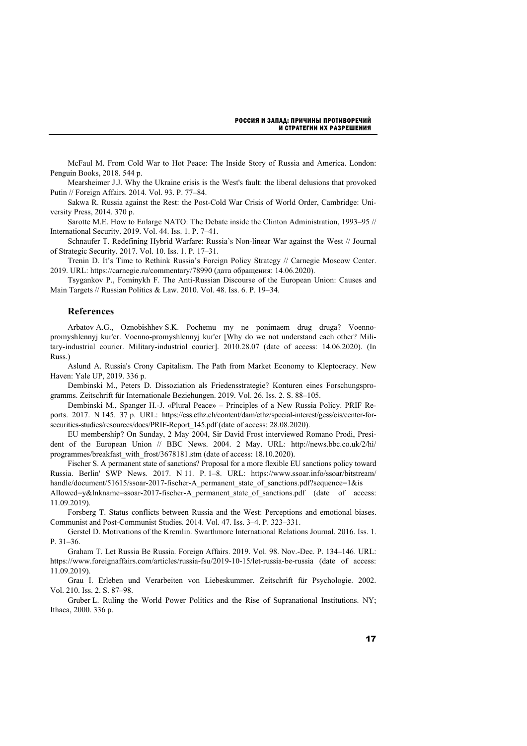McFaul M. From Cold War to Hot Peace: The Inside Story of Russia and America. London: Penguin Books, 2018. 544 p.

Mearsheimer J.J. Why the Ukraine crisis is the West's fault: the liberal delusions that provoked Putin // Foreign Affairs. 2014. Vol. 93. P. 77–84.

Sakwa R. Russia against the Rest: the Post-Cold War Crisis of World Order, Cambridge: University Press, 2014. 370 p.

Sarotte M.E. How to Enlarge NATO: The Debate inside the Clinton Administration, 1993–95 // International Security. 2019. Vol. 44. Iss. 1. P. 7–41.

Schnaufer T. Redefining Hybrid Warfare: Russia's Non-linear War against the West // Journal of Strategic Security. 2017. Vol. 10. Iss. 1. P. 17–31.

Trenin D. It's Time to Rethink Russia's Foreign Policy Strategy // Carnegie Moscow Center. 2019. URL: https://carnegie.ru/commentary/78990 (дата обращения: 14.06.2020).

Tsygankov P., Fominykh F. The Anti-Russian Discourse of the European Union: Causes and Main Targets // Russian Politics & Law. 2010. Vol. 48. Iss. 6. P. 19–34.

#### **References**

Arbatov A.G., Oznobishhev S.K. Pochemu my ne ponimaem drug druga? Voennopromyshlennyj kur'er. Voenno-promyshlennyj kur'er [Why do we not understand each other? Military-industrial courier. Military-industrial courier]. 2010.28.07 (date of access: 14.06.2020). (In Russ.)

Aslund A. Russia's Crony Capitalism. The Path from Market Economy to Kleptocracy. New Haven: Yale UP, 2019. 336 p.

Dembinski M., Peters D. Dissoziation als Friedensstrategie? Konturen eines Forschungsprogramms. Zeitschrift für Internationale Beziehungen. 2019. Vol. 26. Iss. 2. S. 88–105.

Dembinski M., Spanger H.-J. «Plural Peace» – Principles of a New Russia Policy. PRIF Reports. 2017. N 145. 37 p. URL: https://css.ethz.ch/content/dam/ethz/special-interest/gess/cis/center-forsecurities-studies/resources/docs/PRIF-Report\_145.pdf (date of access: 28.08.2020).

EU membership? On Sunday, 2 May 2004, Sir David Frost interviewed Romano Prodi, President of the European Union // BBC News. 2004. 2 May. URL: http://news.bbc.co.uk/2/hi/ programmes/breakfast\_with\_frost/3678181.stm (date of access: 18.10.2020).

Fischer S. A permanent state of sanctions? Proposal for a more flexible EU sanctions policy toward Russia. Berlin' SWP News. 2017. N 11. P. 1–8. URL: https://www.ssoar.info/ssoar/bitstream/ handle/document/51615/ssoar-2017-fischer-A\_permanent\_state\_of\_sanctions.pdf?sequence=1&is

Allowed=y&lnkname=ssoar-2017-fischer-A\_permanent\_state\_of\_sanctions.pdf (date of access: 11.09.2019).

Forsberg T. Status conflicts between Russia and the West: Perceptions and emotional biases. Communist and Post-Communist Studies. 2014. Vol. 47. Iss. 3–4. P. 323–331.

Gerstel D. Motivations of the Kremlin. Swarthmore International Relations Journal. 2016. Iss. 1. P. 31–36.

Graham T. Let Russia Be Russia. Foreign Affairs. 2019. Vol. 98. Nov.-Dec. P. 134–146. URL: https://www.foreignaffairs.com/articles/russia-fsu/2019-10-15/let-russia-be-russia (date of access: 11.09.2019).

Grau I. Erleben und Verarbeiten von Liebeskummer. Zeitschrift für Psychologie. 2002. Vol. 210. Iss. 2. S. 87–98.

Gruber L. Ruling the World Power Politics and the Rise of Supranational Institutions. NY; Ithaca, 2000. 336 p.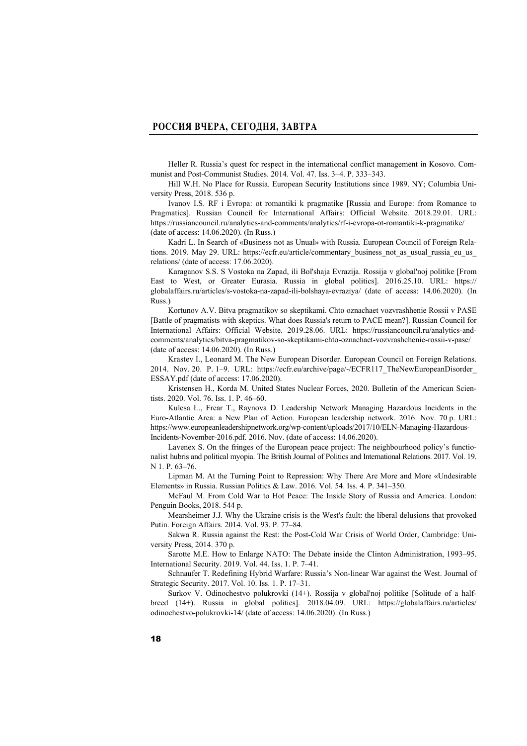Heller R. Russia's quest for respect in the international conflict management in Kosovo. Communist and Post-Communist Studies. 2014. Vol. 47. Iss. 3–4. P. 333–343.

Hill W.H. No Place for Russia. European Security Institutions since 1989. NY; Columbia University Press, 2018. 536 p.

Ivanov I.S. RF i Evropa: ot romantiki k pragmatike [Russia and Europe: from Romance to Pragmatics]. Russian Council for International Affairs: Official Website. 2018.29.01. URL: https://russiancouncil.ru/analytics-and-comments/analytics/rf-i-evropa-ot-romantiki-k-pragmatike/ (date of access: 14.06.2020). (In Russ.)

Kadri L. In Search of «Business not as Unual» with Russia. European Council of Foreign Relations. 2019. May 29. URL: https://ecfr.eu/article/commentary\_business\_not\_as\_usual\_russia\_eu\_us relations/ (date of access: 17.06.2020).

Karaganov S.S. S Vostoka na Zapad, ili Bol'shaja Evrazija. Rossija v global'noj politike [From East to West, or Greater Eurasia. Russia in global politics]. 2016.25.10. URL: https:// globalaffairs.ru/articles/s-vostoka-na-zapad-ili-bolshaya-evraziya/ (date of access: 14.06.2020). (In Russ.)

Kortunov A.V. Bitva pragmatikov so skeptikami. Chto oznachaet vozvrashhenie Rossii v PASE [Battle of pragmatists with skeptics. What does Russia's return to PACE mean?]. Russian Council for International Affairs: Official Website. 2019.28.06. URL: https://russiancouncil.ru/analytics-andcomments/analytics/bitva-pragmatikov-so-skeptikami-chto-oznachaet-vozvrashchenie-rossii-v-pase/ (date of access: 14.06.2020). (In Russ.)

Krastev I., Leonard M. The New European Disorder. European Council on Foreign Relations. 2014. Nov. 20. P. 1–9. URL: https://ecfr.eu/archive/page/-/ECFR117\_TheNewEuropeanDisorder\_ ESSAY.pdf (date of access: 17.06.2020).

Kristensen H., Korda M. United States Nuclear Forces, 2020. Bulletin of the American Scientists. 2020. Vol. 76. Iss. 1. P. 46–60.

Kulesa Ł., Frear T., Raynova D. Leadership Network Managing Hazardous Incidents in the Euro-Atlantic Area: a New Plan of Action. European leadership network. 2016. Nov. 70 p. URL: https://www.europeanleadershipnetwork.org/wp-content/uploads/2017/10/ELN-Managing-Hazardous-Incidents-November-2016.pdf. 2016. Nov. (date of access: 14.06.2020).

Lavenex S. On the fringes of the European peace project: The neighbourhood policy's functionalist hubris and political myopia. The British Journal of Politics and International Relations. 2017. Vol. 19. N 1. P. 63–76.

Lipman M. At the Turning Point to Repression: Why There Are More and More «Undesirable Elements» in Russia. Russian Politics & Law. 2016. Vol. 54. Iss. 4. P. 341–350.

McFaul M. From Cold War to Hot Peace: The Inside Story of Russia and America. London: Penguin Books, 2018. 544 p.

Mearsheimer J.J. Why the Ukraine crisis is the West's fault: the liberal delusions that provoked Putin. Foreign Affairs. 2014. Vol. 93. P. 77–84.

Sakwa R. Russia against the Rest: the Post-Cold War Crisis of World Order, Cambridge: University Press, 2014. 370 p.

Sarotte M.E. How to Enlarge NATO: The Debate inside the Clinton Administration, 1993–95. International Security. 2019. Vol. 44. Iss. 1. P. 7–41.

Schnaufer T. Redefining Hybrid Warfare: Russia's Non-linear War against the West. Journal of Strategic Security. 2017. Vol. 10. Iss. 1. P. 17–31.

Surkov V. Odinochestvo polukrovki (14+). Rossija v global'noj politike [Solitude of a halfbreed (14+). Russia in global politics]. 2018.04.09. URL: https://globalaffairs.ru/articles/ odinochestvo-polukrovki-14/ (date of access: 14.06.2020). (In Russ.)